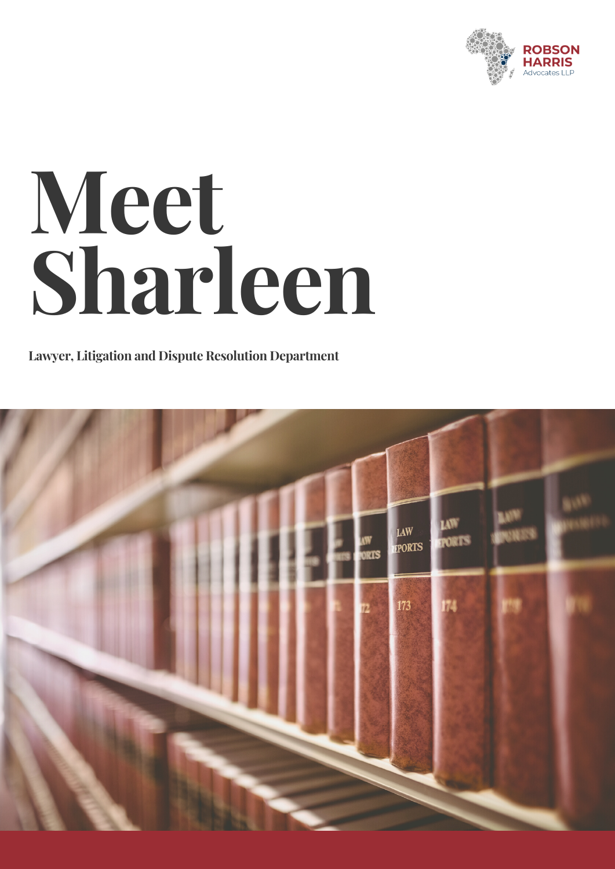

## **Meet Sharleen**

**Lawyer, Litigation and Dispute Resolution Department**